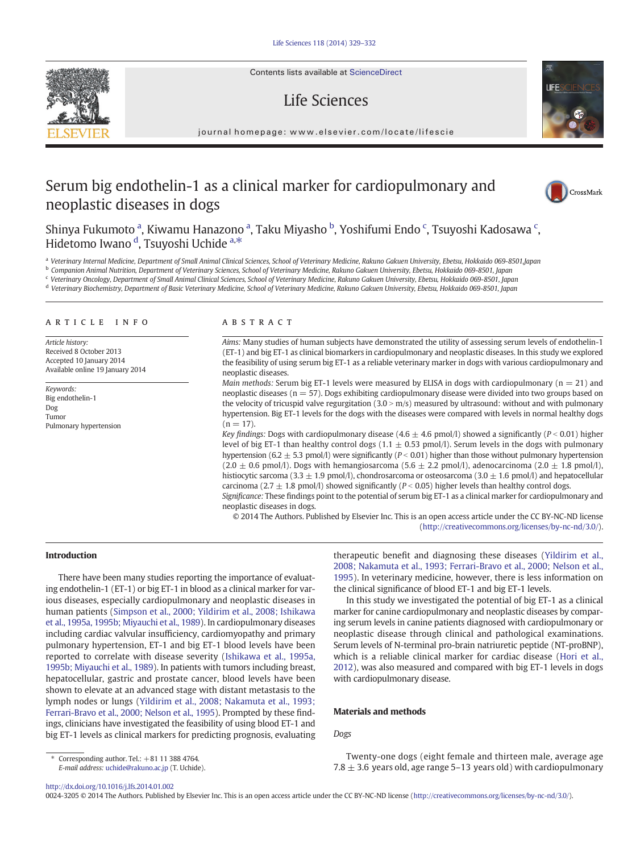Contents lists available at ScienceDirect

# Life Sciences

journal homepage: www.elsevier.com/locate/lifescie

# Serum big endothelin-1 as a clinical marker for cardiopulmonary and neoplastic diseases in dogs



Shinya Fukumoto <sup>a</sup>, Kiwamu Hanazono <sup>a</sup>, Taku Miyasho <sup>b</sup>, Yoshifumi Endo <sup>c</sup>, Tsuyoshi Kadosawa <sup>c</sup>, Hidetomo Iwano <sup>d</sup>, Tsuyoshi Uchide <sup>a,\*</sup>

a Veterinary Internal Medicine, Department of Small Animal Clinical Sciences, School of Veterinary Medicine, Rakuno Gakuen University, Ebetsu, Hokkaido 069-8501,Japan

<sup>b</sup> Companion Animal Nutrition, Department of Veterinary Sciences, School of Veterinary Medicine, Rakuno Gakuen University, Ebetsu, Hokkaido 069-8501, Japan

<sup>c</sup> Veterinary Oncology, Department of Small Animal Clinical Sciences, School of Veterinary Medicine, Rakuno Gakuen University, Ebetsu, Hokkaido 069-8501, Japan

<sup>d</sup> Veterinary Biochemistry, Department of Basic Veterinary Medicine, School of Veterinary Medicine, Rakuno Gakuen University, Ebetsu, Hokkaido 069-8501, Japan

#### article info abstract

Article history: Received 8 October 2013 Accepted 10 January 2014 Available online 19 January 2014

Keywords: Big endothelin-1 Dog Tumor Pulmonary hypertension

Aims: Many studies of human subjects have demonstrated the utility of assessing serum levels of endothelin-1 (ET-1) and big ET-1 as clinical biomarkers in cardiopulmonary and neoplastic diseases. In this study we explored the feasibility of using serum big ET-1 as a reliable veterinary marker in dogs with various cardiopulmonary and neoplastic diseases.

*Main methods:* Serum big ET-1 levels were measured by ELISA in dogs with cardiopulmonary ( $n = 21$ ) and neoplastic diseases (n = 57). Dogs exhibiting cardiopulmonary disease were divided into two groups based on the velocity of tricuspid valve regurgitation  $(3.0 \times m/s)$  measured by ultrasound: without and with pulmonary hypertension. Big ET-1 levels for the dogs with the diseases were compared with levels in normal healthy dogs  $(n = 17)$ .

Key findings: Dogs with cardiopulmonary disease (4.6  $\pm$  4.6 pmol/l) showed a significantly (P < 0.01) higher level of big ET-1 than healthy control dogs  $(1.1 \pm 0.53 \text{ pmol/l})$ . Serum levels in the dogs with pulmonary hypertension (6.2  $\pm$  5.3 pmol/l) were significantly (P < 0.01) higher than those without pulmonary hypertension  $(2.0 \pm 0.6 \text{ pmol/l})$ . Dogs with hemangiosarcoma  $(5.6 \pm 2.2 \text{ pmol/l})$ , adenocarcinoma  $(2.0 \pm 1.8 \text{ pmol/l})$ , histiocytic sarcoma (3.3  $\pm$  1.9 pmol/l), chondrosarcoma or osteosarcoma (3.0  $\pm$  1.6 pmol/l) and hepatocellular carcinoma (2.7  $\pm$  1.8 pmol/l) showed significantly (P < 0.05) higher levels than healthy control dogs.

Significance: These findings point to the potential of serum big ET-1 as a clinical marker for cardiopulmonary and neoplastic diseases in dogs.

© 2014 The Authors. Published by Elsevier Inc. This is an open access article under the CC BY-NC-ND license  $(http://creativecommons.org/licenses/by-nc-nd/3.0/">$  $(http://creativecommons.org/licenses/by-nc-nd/3.0/">$  $(http://creativecommons.org/licenses/by-nc-nd/3.0/">$ .

## Introduction

There have been many studies reporting the importance of evaluating endothelin-1 (ET-1) or big ET-1 in blood as a clinical marker for various diseases, especially cardiopulmonary and neoplastic diseases in human patients ([Simpson et al., 2000; Yildirim et al., 2008; Ishikawa](#page-3-0) [et al., 1995a, 1995b; Miyauchi et al., 1989](#page-3-0)). In cardiopulmonary diseases including cardiac valvular insufficiency, cardiomyopathy and primary pulmonary hypertension, ET-1 and big ET-1 blood levels have been reported to correlate with disease severity ([Ishikawa et al., 1995a,](#page-3-0) [1995b; Miyauchi et al., 1989](#page-3-0)). In patients with tumors including breast, hepatocellular, gastric and prostate cancer, blood levels have been shown to elevate at an advanced stage with distant metastasis to the lymph nodes or lungs [\(Yildirim et al., 2008; Nakamuta et al., 1993;](#page-3-0) [Ferrari-Bravo et al., 2000; Nelson et al., 1995\)](#page-3-0). Prompted by these findings, clinicians have investigated the feasibility of using blood ET-1 and big ET-1 levels as clinical markers for predicting prognosis, evaluating therapeutic benefit and diagnosing these diseases [\(Yildirim et al.,](#page-3-0) 2008; Nakamuta et al., 1993; [Ferrari-Bravo et al., 2000; Nelson et al.,](#page-3-0) [1995\)](#page-3-0). In veterinary medicine, however, there is less information on the clinical significance of blood ET-1 and big ET-1 levels.

In this study we investigated the potential of big ET-1 as a clinical marker for canine cardiopulmonary and neoplastic diseases by comparing serum levels in canine patients diagnosed with cardiopulmonary or neoplastic disease through clinical and pathological examinations. Serum levels of N-terminal pro-brain natriuretic peptide (NT-proBNP), which is a reliable clinical marker for cardiac disease [\(Hori et al.,](#page-3-0) [2012\)](#page-3-0), was also measured and compared with big ET-1 levels in dogs with cardiopulmonary disease.

### Materials and methods

Dogs

Twenty-one dogs (eight female and thirteen male, average age 7.8  $\pm$  3.6 years old, age range 5-13 years old) with cardiopulmonary

0024-3205 © 2014 The Authors. Published by Elsevier Inc. This is an open access article under the CC BY-NC-ND license ([http://creativecommons.org/licenses/by-nc-nd/](http://creativecommons.org/licenses/by-nc-nd/4.0/))3.0/).



Corresponding author. Tel.:  $+81$  11 388 4764. E-mail address: [uchide@rakuno.ac.jp](mailto:uchide@rakuno.ac.jp) (T. Uchide).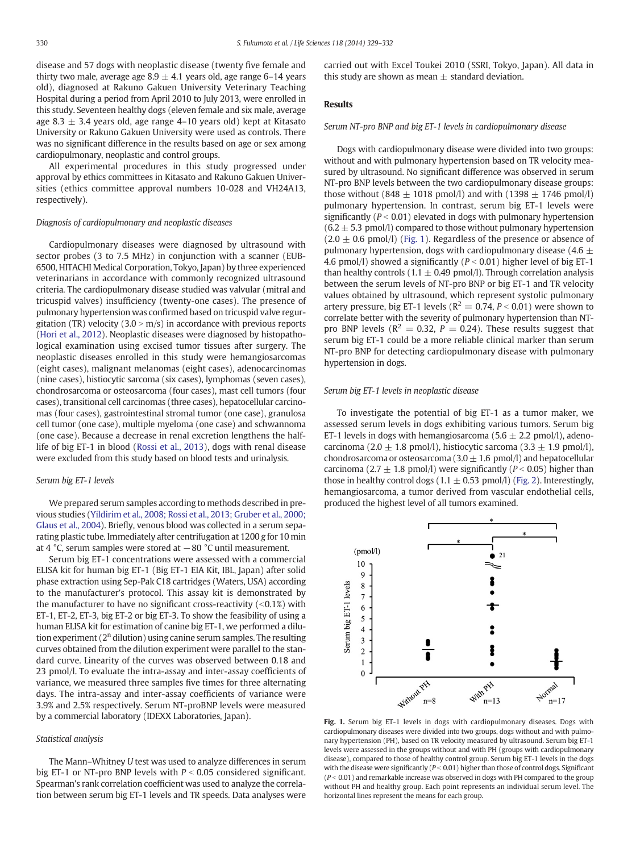disease and 57 dogs with neoplastic disease (twenty five female and thirty two male, average age  $8.9 \pm 4.1$  years old, age range 6–14 years old), diagnosed at Rakuno Gakuen University Veterinary Teaching Hospital during a period from April 2010 to July 2013, were enrolled in this study. Seventeen healthy dogs (eleven female and six male, average age 8.3  $\pm$  3.4 years old, age range 4–10 years old) kept at Kitasato University or Rakuno Gakuen University were used as controls. There was no significant difference in the results based on age or sex among cardiopulmonary, neoplastic and control groups.

All experimental procedures in this study progressed under approval by ethics committees in Kitasato and Rakuno Gakuen Universities (ethics committee approval numbers 10-028 and VH24A13, respectively).

### Diagnosis of cardiopulmonary and neoplastic diseases

Cardiopulmonary diseases were diagnosed by ultrasound with sector probes (3 to 7.5 MHz) in conjunction with a scanner (EUB-6500, HITACHI Medical Corporation, Tokyo, Japan) by three experienced veterinarians in accordance with commonly recognized ultrasound criteria. The cardiopulmonary disease studied was valvular (mitral and tricuspid valves) insufficiency (twenty-one cases). The presence of pulmonary hypertension was confirmed based on tricuspid valve regurgitation (TR) velocity ( $3.0 > m/s$ ) in accordance with previous reports [\(Hori et al., 2012\)](#page-3-0). Neoplastic diseases were diagnosed by histopathological examination using excised tumor tissues after surgery. The neoplastic diseases enrolled in this study were hemangiosarcomas (eight cases), malignant melanomas (eight cases), adenocarcinomas (nine cases), histiocytic sarcoma (six cases), lymphomas (seven cases), chondrosarcoma or osteosarcoma (four cases), mast cell tumors (four cases), transitional cell carcinomas (three cases), hepatocellular carcinomas (four cases), gastrointestinal stromal tumor (one case), granulosa cell tumor (one case), multiple myeloma (one case) and schwannoma (one case). Because a decrease in renal excretion lengthens the halflife of big ET-1 in blood [\(Rossi et al., 2013\)](#page-3-0), dogs with renal disease were excluded from this study based on blood tests and urinalysis.

#### Serum big ET-1 levels

We prepared serum samples according to methods described in previous studies [\(Yildirim et al., 2008; Rossi et al., 2013; Gruber et al., 2000;](#page-3-0) [Glaus et al., 2004\)](#page-3-0). Briefly, venous blood was collected in a serum separating plastic tube. Immediately after centrifugation at 1200 g for 10 min at 4 °C, serum samples were stored at  $-80$  °C until measurement.

Serum big ET-1 concentrations were assessed with a commercial ELISA kit for human big ET-1 (Big ET-1 EIA Kit, IBL, Japan) after solid phase extraction using Sep-Pak C18 cartridges (Waters, USA) according to the manufacturer's protocol. This assay kit is demonstrated by the manufacturer to have no significant cross-reactivity  $($  <0.1%) with ET-1, ET-2, ET-3, big ET-2 or big ET-3. To show the feasibility of using a human ELISA kit for estimation of canine big ET-1, we performed a dilution experiment  $(2^n)$  dilution) using canine serum samples. The resulting curves obtained from the dilution experiment were parallel to the standard curve. Linearity of the curves was observed between 0.18 and 23 pmol/l. To evaluate the intra-assay and inter-assay coefficients of variance, we measured three samples five times for three alternating days. The intra-assay and inter-assay coefficients of variance were 3.9% and 2.5% respectively. Serum NT-proBNP levels were measured by a commercial laboratory (IDEXX Laboratories, Japan).

## Statistical analysis

The Mann–Whitney U test was used to analyze differences in serum big ET-1 or NT-pro BNP levels with  $P < 0.05$  considered significant. Spearman's rank correlation coefficient was used to analyze the correlation between serum big ET-1 levels and TR speeds. Data analyses were carried out with Excel Toukei 2010 (SSRI, Tokyo, Japan). All data in this study are shown as mean  $\pm$  standard deviation.

#### Results

#### Serum NT-pro BNP and big ET-1 levels in cardiopulmonary disease

Dogs with cardiopulmonary disease were divided into two groups: without and with pulmonary hypertension based on TR velocity measured by ultrasound. No significant difference was observed in serum NT-pro BNP levels between the two cardiopulmonary disease groups: those without (848  $\pm$  1018 pmol/l) and with (1398  $\pm$  1746 pmol/l) pulmonary hypertension. In contrast, serum big ET-1 levels were significantly ( $P < 0.01$ ) elevated in dogs with pulmonary hypertension  $(6.2 \pm 5.3 \text{ pmol/l})$  compared to those without pulmonary hypertension  $(2.0 \pm 0.6 \text{ pmol/l})$  (Fig. 1). Regardless of the presence or absence of pulmonary hypertension, dogs with cardiopulmonary disease (4.6  $\pm$ 4.6 pmol/l) showed a significantly ( $P < 0.01$ ) higher level of big ET-1 than healthy controls (1.1  $\pm$  0.49 pmol/l). Through correlation analysis between the serum levels of NT-pro BNP or big ET-1 and TR velocity values obtained by ultrasound, which represent systolic pulmonary artery pressure, big ET-1 levels ( $R^2 = 0.74$ ,  $P < 0.01$ ) were shown to correlate better with the severity of pulmonary hypertension than NTpro BNP levels ( $R^2 = 0.32$ ,  $P = 0.24$ ). These results suggest that serum big ET-1 could be a more reliable clinical marker than serum NT-pro BNP for detecting cardiopulmonary disease with pulmonary hypertension in dogs.

#### Serum big ET-1 levels in neoplastic disease

To investigate the potential of big ET-1 as a tumor maker, we assessed serum levels in dogs exhibiting various tumors. Serum big ET-1 levels in dogs with hemangiosarcoma ( $5.6 \pm 2.2$  pmol/l), adenocarcinoma (2.0  $\pm$  1.8 pmol/l), histiocytic sarcoma (3.3  $\pm$  1.9 pmol/l), chondrosarcoma or osteosarcoma (3.0  $\pm$  1.6 pmol/l) and hepatocellular carcinoma (2.7  $\pm$  1.8 pmol/l) were significantly (P < 0.05) higher than those in healthy control dogs (1.1  $\pm$  0.53 pmol/l) ([Fig. 2](#page-2-0)). Interestingly, hemangiosarcoma, a tumor derived from vascular endothelial cells, produced the highest level of all tumors examined.



Fig. 1. Serum big ET-1 levels in dogs with cardiopulmonary diseases. Dogs with cardiopulmonary diseases were divided into two groups, dogs without and with pulmonary hypertension (PH), based on TR velocity measured by ultrasound. Serum big ET-1 levels were assessed in the groups without and with PH (groups with cardiopulmonary disease), compared to those of healthy control group. Serum big ET-1 levels in the dogs with the disease were significantly ( $P < 0.01$ ) higher than those of control dogs. Significant  $(P < 0.01)$  and remarkable increase was observed in dogs with PH compared to the group without PH and healthy group. Each point represents an individual serum level. The horizontal lines represent the means for each group.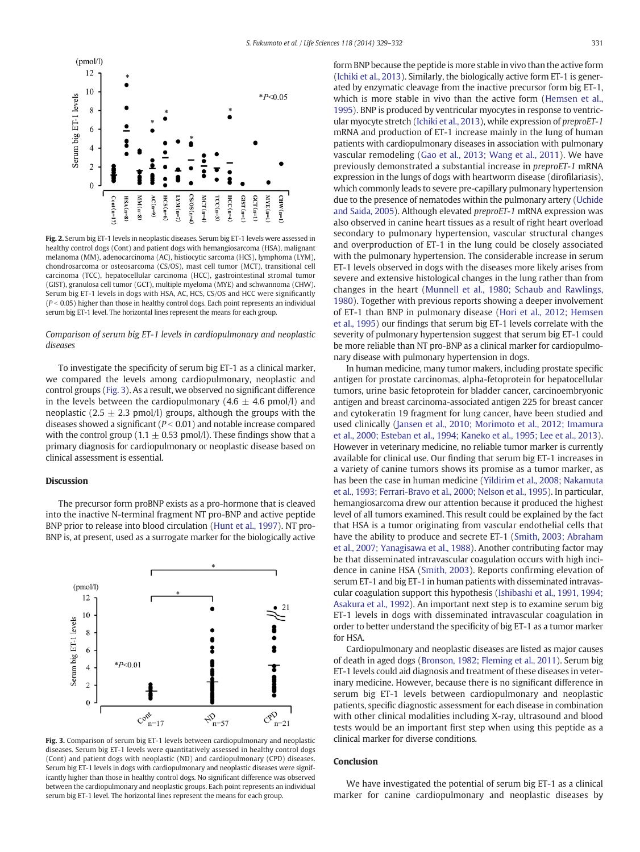<span id="page-2-0"></span>

Fig. 2. Serum big ET-1 levels in neoplastic diseases. Serum big ET-1 levels were assessed in healthy control dogs (Cont) and patient dogs with hemangiosarcoma (HSA), malignant melanoma (MM), adenocarcinoma (AC), histiocytic sarcoma (HCS), lymphoma (LYM), chondrosarcoma or osteosarcoma (CS/OS), mast cell tumor (MCT), transitional cell carcinoma (TCC), hepatocellular carcinoma (HCC), gastrointestinal stromal tumor (GIST), granulosa cell tumor (GCT), multiple myeloma (MYE) and schwannoma (CHW). Serum big ET-1 levels in dogs with HSA, AC, HCS, CS/OS and HCC were significantly  $(P < 0.05)$  higher than those in healthy control dogs. Each point represents an individual serum big ET-1 level. The horizontal lines represent the means for each group.

Comparison of serum big ET-1 levels in cardiopulmonary and neoplastic diseases

To investigate the specificity of serum big ET-1 as a clinical marker, we compared the levels among cardiopulmonary, neoplastic and control groups (Fig. 3). As a result, we observed no significant difference in the levels between the cardiopulmonary (4.6  $\pm$  4.6 pmol/l) and neoplastic (2.5  $\pm$  2.3 pmol/l) groups, although the groups with the diseases showed a significant ( $P < 0.01$ ) and notable increase compared with the control group (1.1  $\pm$  0.53 pmol/l). These findings show that a primary diagnosis for cardiopulmonary or neoplastic disease based on clinical assessment is essential.

#### **Discussion**

The precursor form proBNP exists as a pro-hormone that is cleaved into the inactive N-terminal fragment NT pro-BNP and active peptide BNP prior to release into blood circulation ([Hunt et al., 1997](#page-3-0)). NT pro-BNP is, at present, used as a surrogate marker for the biologically active



Fig. 3. Comparison of serum big ET-1 levels between cardiopulmonary and neoplastic diseases. Serum big ET-1 levels were quantitatively assessed in healthy control dogs (Cont) and patient dogs with neoplastic (ND) and cardiopulmonary (CPD) diseases. Serum big ET-1 levels in dogs with cardiopulmonary and neoplastic diseases were significantly higher than those in healthy control dogs. No significant difference was observed between the cardiopulmonary and neoplastic groups. Each point represents an individual serum big ET-1 level. The horizontal lines represent the means for each group.

form BNP because the peptide is more stable in vivo than the active form [\(Ichiki et al., 2013](#page-3-0)). Similarly, the biologically active form ET-1 is generated by enzymatic cleavage from the inactive precursor form big ET-1, which is more stable in vivo than the active form ([Hemsen et al.,](#page-3-0) [1995](#page-3-0)). BNP is produced by ventricular myocytes in response to ventricular myocyte stretch ([Ichiki et al., 2013\)](#page-3-0), while expression of preproET-1 mRNA and production of ET-1 increase mainly in the lung of human patients with cardiopulmonary diseases in association with pulmonary vascular remodeling ([Gao et al., 2013; Wang et al., 2011\)](#page-3-0). We have previously demonstrated a substantial increase in preproET-1 mRNA expression in the lungs of dogs with heartworm disease (dirofilariasis), which commonly leads to severe pre-capillary pulmonary hypertension due to the presence of nematodes within the pulmonary artery ([Uchide](#page-3-0) [and Saida, 2005\)](#page-3-0). Although elevated preproET-1 mRNA expression was also observed in canine heart tissues as a result of right heart overload secondary to pulmonary hypertension, vascular structural changes and overproduction of ET-1 in the lung could be closely associated with the pulmonary hypertension. The considerable increase in serum ET-1 levels observed in dogs with the diseases more likely arises from severe and extensive histological changes in the lung rather than from changes in the heart [\(Munnell et al., 1980; Schaub and Rawlings,](#page-3-0) [1980\)](#page-3-0). Together with previous reports showing a deeper involvement of ET-1 than BNP in pulmonary disease ([Hori et al., 2012; Hemsen](#page-3-0) [et al., 1995\)](#page-3-0) our findings that serum big ET-1 levels correlate with the severity of pulmonary hypertension suggest that serum big ET-1 could be more reliable than NT pro-BNP as a clinical marker for cardiopulmonary disease with pulmonary hypertension in dogs.

In human medicine, many tumor makers, including prostate specific antigen for prostate carcinomas, alpha-fetoprotein for hepatocellular tumors, urine basic fetoprotein for bladder cancer, carcinoembryonic antigen and breast carcinoma-associated antigen 225 for breast cancer and cytokeratin 19 fragment for lung cancer, have been studied and used clinically [\(Jansen et al., 2010; Morimoto et al., 2012; Imamura](#page-3-0) [et al., 2000; Esteban et al., 1994; Kaneko et al., 1995; Lee et al., 2013](#page-3-0)). However in veterinary medicine, no reliable tumor marker is currently available for clinical use. Our finding that serum big ET-1 increases in a variety of canine tumors shows its promise as a tumor marker, as has been the case in human medicine [\(Yildirim et al., 2008; Nakamuta](#page-3-0) [et al., 1993; Ferrari-Bravo et al., 2000; Nelson et al., 1995](#page-3-0)). In particular, hemangiosarcoma drew our attention because it produced the highest level of all tumors examined. This result could be explained by the fact that HSA is a tumor originating from vascular endothelial cells that have the ability to produce and secrete ET-1 ([Smith, 2003; Abraham](#page-3-0) [et al., 2007; Yanagisawa et al., 1988\)](#page-3-0). Another contributing factor may be that disseminated intravascular coagulation occurs with high incidence in canine HSA [\(Smith, 2003\)](#page-3-0). Reports confirming elevation of serum ET-1 and big ET-1 in human patients with disseminated intravascular coagulation support this hypothesis [\(Ishibashi et al., 1991, 1994;](#page-3-0) [Asakura et al., 1992](#page-3-0)). An important next step is to examine serum big ET-1 levels in dogs with disseminated intravascular coagulation in order to better understand the specificity of big ET-1 as a tumor marker for HSA.

Cardiopulmonary and neoplastic diseases are listed as major causes of death in aged dogs [\(Bronson, 1982; Fleming et al., 2011\)](#page-3-0). Serum big ET-1 levels could aid diagnosis and treatment of these diseases in veterinary medicine. However, because there is no significant difference in serum big ET-1 levels between cardiopulmonary and neoplastic patients, specific diagnostic assessment for each disease in combination with other clinical modalities including X-ray, ultrasound and blood tests would be an important first step when using this peptide as a clinical marker for diverse conditions.

#### **Conclusion**

We have investigated the potential of serum big ET-1 as a clinical marker for canine cardiopulmonary and neoplastic diseases by